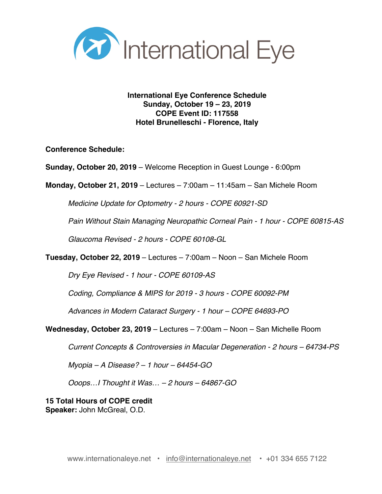

**International Eye Conference Schedule Sunday, October 19 – 23, 2019 COPE Event ID: 117558 Hotel Brunelleschi - Florence, Italy**

**Conference Schedule:**

**Sunday, October 20, 2019** – Welcome Reception in Guest Lounge - 6:00pm

**Monday, October 21, 2019** – Lectures – 7:00am – 11:45am – San Michele Room

*Medicine Update for Optometry - 2 hours - COPE 60921-SD*

*Pain Without Stain Managing Neuropathic Corneal Pain - 1 hour - COPE 60815-AS*

*Glaucoma Revised - 2 hours - COPE 60108-GL*

**Tuesday, October 22, 2019** – Lectures – 7:00am – Noon – San Michele Room

*Dry Eye Revised - 1 hour - COPE 60109-AS*

*Coding, Compliance & MIPS for 2019 - 3 hours - COPE 60092-PM*

*Advances in Modern Cataract Surgery - 1 hour – COPE 64693-PO*

**Wednesday, October 23, 2019** – Lectures – 7:00am – Noon – San Michelle Room

*Current Concepts & Controversies in Macular Degeneration - 2 hours – 64734-PS*

*Myopia – A Disease? – 1 hour – 64454-GO*

*Ooops…I Thought it Was… – 2 hours – 64867-GO*

**15 Total Hours of COPE credit Speaker:** John McGreal, O.D.